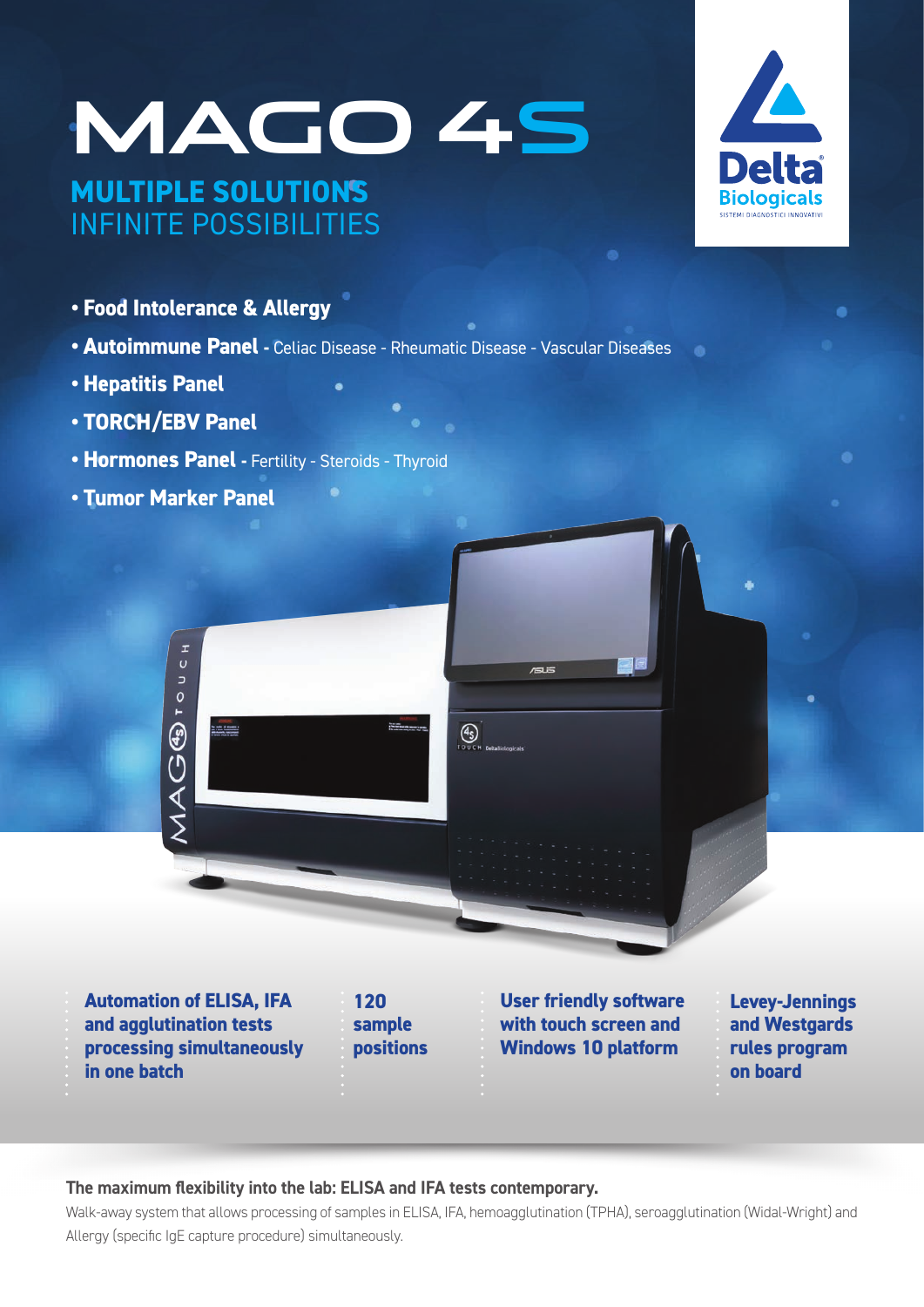# **MAGO 4S MULTIPLE SOLUTIONS**  INFINITE POSSIBILITIES



- **Food Intolerance & Allergy**
- **Autoimmune Panel** Celiac Disease Rheumatic Disease Vascular Diseases
- **Hepatitis Panel**
- **TORCH/EBV Panel**
- **Hormones Panel** Fertility Steroids Thyroid
- **Tumor Marker Panel**



**Automation of ELISA, IFA and agglutination tests processing simultaneously in one batch**

**120 sample positions**

**User friendly software with touch screen and Windows 10 platform**

**Levey-Jennings and Westgards rules program on board**

### **The maximum flexibility into the lab: ELISA and IFA tests contemporary.**

Walk-away system that allows processing of samples in ELISA, IFA, hemoagglutination (TPHA), seroagglutination (Widal-Wright) and Allergy (specific IgE capture procedure) simultaneously.